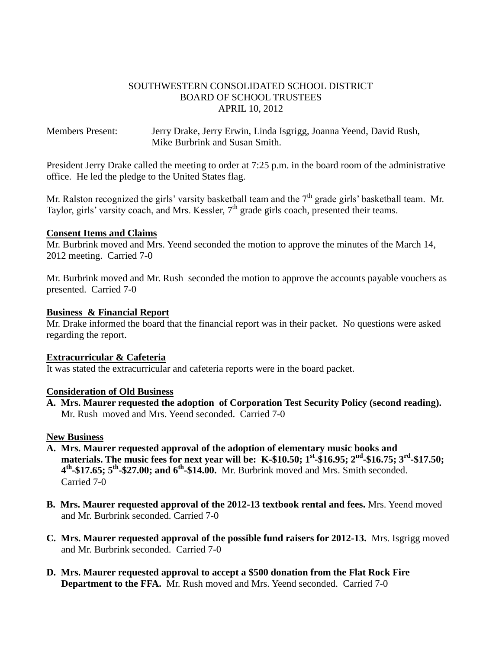## SOUTHWESTERN CONSOLIDATED SCHOOL DISTRICT BOARD OF SCHOOL TRUSTEES APRIL 10, 2012

Members Present: Jerry Drake, Jerry Erwin, Linda Isgrigg, Joanna Yeend, David Rush, Mike Burbrink and Susan Smith.

President Jerry Drake called the meeting to order at 7:25 p.m. in the board room of the administrative office. He led the pledge to the United States flag.

Mr. Ralston recognized the girls' varsity basketball team and the  $7<sup>th</sup>$  grade girls' basketball team. Mr. Taylor, girls' varsity coach, and Mrs. Kessler, 7<sup>th</sup> grade girls coach, presented their teams.

### **Consent Items and Claims**

Mr. Burbrink moved and Mrs. Yeend seconded the motion to approve the minutes of the March 14, 2012 meeting. Carried 7-0

Mr. Burbrink moved and Mr. Rush seconded the motion to approve the accounts payable vouchers as presented. Carried 7-0

### **Business & Financial Report**

Mr. Drake informed the board that the financial report was in their packet. No questions were asked regarding the report.

### **Extracurricular & Cafeteria**

It was stated the extracurricular and cafeteria reports were in the board packet.

### **Consideration of Old Business**

**A. Mrs. Maurer requested the adoption of Corporation Test Security Policy (second reading).** Mr. Rush moved and Mrs. Yeend seconded. Carried 7-0

## **New Business**

- **A. Mrs. Maurer requested approval of the adoption of elementary music books and materials.** The music fees for next year will be: K-\$10.50; 1<sup>st</sup>-\$16.95; 2<sup>nd</sup>-\$16.75; 3<sup>rd</sup>-\$17.50;  **4 th -\$17.65; 5th -\$27.00; and 6th -\$14.00.** Mr. Burbrink moved and Mrs. Smith seconded. Carried 7-0
- **B. Mrs. Maurer requested approval of the 2012-13 textbook rental and fees.** Mrs. Yeend moved and Mr. Burbrink seconded. Carried 7-0
- **C. Mrs. Maurer requested approval of the possible fund raisers for 2012-13.** Mrs. Isgrigg moved and Mr. Burbrink seconded. Carried 7-0
- **D. Mrs. Maurer requested approval to accept a \$500 donation from the Flat Rock Fire Department to the FFA.** Mr. Rush moved and Mrs. Yeend seconded. Carried 7-0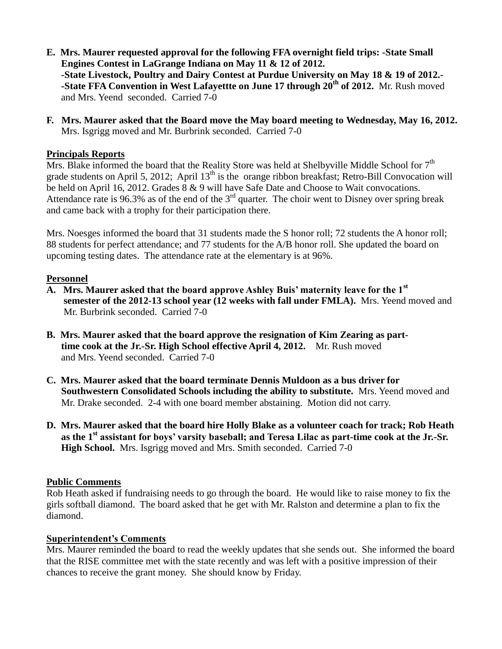- **E. Mrs. Maurer requested approval for the following FFA overnight field trips: -State Small Engines Contest in LaGrange Indiana on May 11 & 12 of 2012. -State Livestock, Poultry and Dairy Contest at Purdue University on May 18 & 19 of 2012.- -State FFA Convention in West Lafayettte on June 17 through 20th of 2012.** Mr. Rush moved and Mrs. Yeend seconded. Carried 7-0
- **F. Mrs. Maurer asked that the Board move the May board meeting to Wednesday, May 16, 2012.** Mrs. Isgrigg moved and Mr. Burbrink seconded. Carried 7-0

# **Principals Reports**

Mrs. Blake informed the board that the Reality Store was held at Shelbyville Middle School for  $7<sup>th</sup>$ grade students on April 5, 2012; April 13<sup>th</sup> is the orange ribbon breakfast; Retro-Bill Convocation will be held on April 16, 2012. Grades 8 & 9 will have Safe Date and Choose to Wait convocations. Attendance rate is 96.3% as of the end of the  $3<sup>rd</sup>$  quarter. The choir went to Disney over spring break and came back with a trophy for their participation there.

Mrs. Noesges informed the board that 31 students made the S honor roll; 72 students the A honor roll; 88 students for perfect attendance; and 77 students for the A/B honor roll. She updated the board on upcoming testing dates. The attendance rate at the elementary is at 96%.

### **Personnel**

- **A. Mrs. Maurer asked that the board approve Ashley Buis' maternity leave for the 1st semester of the 2012-13 school year (12 weeks with fall under FMLA).** Mrs. Yeend moved and Mr. Burbrink seconded. Carried 7-0
- **B. Mrs. Maurer asked that the board approve the resignation of Kim Zearing as part time cook at the Jr.-Sr. High School effective April 4, 2012.** Mr. Rush moved and Mrs. Yeend seconded. Carried 7-0
- **C. Mrs. Maurer asked that the board terminate Dennis Muldoon as a bus driver for Southwestern Consolidated Schools including the ability to substitute.** Mrs. Yeend moved and Mr. Drake seconded. 2-4 with one board member abstaining. Motion did not carry.
- **D. Mrs. Maurer asked that the board hire Holly Blake as a volunteer coach for track; Rob Heath as the 1st assistant for boys' varsity baseball; and Teresa Lilac as part-time cook at the Jr.-Sr. High School.** Mrs. Isgrigg moved and Mrs. Smith seconded. Carried 7-0

### **Public Comments**

Rob Heath asked if fundraising needs to go through the board. He would like to raise money to fix the girls softball diamond. The board asked that he get with Mr. Ralston and determine a plan to fix the diamond.

### **Superintendent's Comments**

Mrs. Maurer reminded the board to read the weekly updates that she sends out. She informed the board that the RISE committee met with the state recently and was left with a positive impression of their chances to receive the grant money. She should know by Friday.